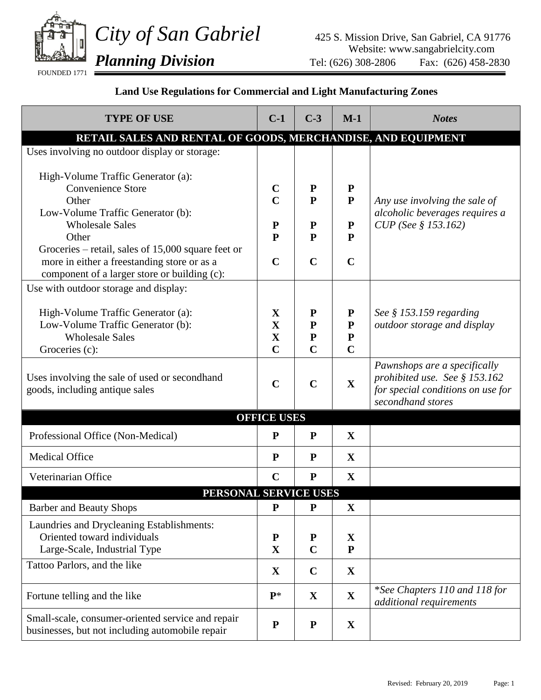

## **Land Use Regulations for Commercial and Light Manufacturing Zones**

| <b>TYPE OF USE</b>                                                                                                                                                                                                                                                                                                                                    | $C-1$                                                                   | $C-3$                                                                 | $M-1$                                                              | <b>Notes</b>                                                                                                                                                                        |  |
|-------------------------------------------------------------------------------------------------------------------------------------------------------------------------------------------------------------------------------------------------------------------------------------------------------------------------------------------------------|-------------------------------------------------------------------------|-----------------------------------------------------------------------|--------------------------------------------------------------------|-------------------------------------------------------------------------------------------------------------------------------------------------------------------------------------|--|
| RETAIL SALES AND RENTAL OF GOODS, MERCHANDISE, AND EQUIPMENT                                                                                                                                                                                                                                                                                          |                                                                         |                                                                       |                                                                    |                                                                                                                                                                                     |  |
| Uses involving no outdoor display or storage:<br>High-Volume Traffic Generator (a):<br><b>Convenience Store</b><br>Other<br>Low-Volume Traffic Generator (b):<br><b>Wholesale Sales</b><br>Other<br>Groceries – retail, sales of 15,000 square feet or<br>more in either a freestanding store or as a<br>component of a larger store or building (c): | $\mathbf C$<br>$\mathbf C$<br>${\bf P}$<br>$\mathbf{P}$<br>$\mathbf C$  | ${\bf P}$<br>$\mathbf{P}$<br>${\bf P}$<br>$\mathbf{P}$<br>$\mathbf C$ | P<br>${\bf P}$<br>${\bf P}$<br>$\mathbf{P}$<br>$\mathbf C$         | Any use involving the sale of<br>alcoholic beverages requires a<br>CUP (See § 153.162)                                                                                              |  |
| Use with outdoor storage and display:<br>High-Volume Traffic Generator (a):<br>Low-Volume Traffic Generator (b):<br><b>Wholesale Sales</b><br>Groceries (c):<br>Uses involving the sale of used or second hand<br>goods, including antique sales                                                                                                      | $\mathbf X$<br>$\mathbf X$<br>$\mathbf X$<br>$\mathbf C$<br>$\mathbf C$ | P<br>${\bf P}$<br>${\bf P}$<br>$\overline{C}$<br>$\mathbf C$          | ${\bf P}$<br>${\bf P}$<br>${\bf P}$<br>$\mathbf C$<br>$\mathbf{X}$ | See $§$ 153.159 regarding<br>outdoor storage and display<br>Pawnshops are a specifically<br>prohibited use. See § 153.162<br>for special conditions on use for<br>secondhand stores |  |
|                                                                                                                                                                                                                                                                                                                                                       | <b>OFFICE USES</b>                                                      |                                                                       |                                                                    |                                                                                                                                                                                     |  |
| Professional Office (Non-Medical)                                                                                                                                                                                                                                                                                                                     | P                                                                       | ${\bf P}$                                                             | $\mathbf{X}$                                                       |                                                                                                                                                                                     |  |
| <b>Medical Office</b>                                                                                                                                                                                                                                                                                                                                 | ${\bf P}$                                                               | P                                                                     | $\mathbf{X}$                                                       |                                                                                                                                                                                     |  |
| Veterinarian Office                                                                                                                                                                                                                                                                                                                                   | $\mathbf C$                                                             | ${\bf P}$                                                             | $\mathbf X$                                                        |                                                                                                                                                                                     |  |
| PERSONAL SERVICE USES                                                                                                                                                                                                                                                                                                                                 |                                                                         |                                                                       |                                                                    |                                                                                                                                                                                     |  |
| <b>Barber and Beauty Shops</b>                                                                                                                                                                                                                                                                                                                        | ${\bf P}$                                                               | ${\bf P}$                                                             | $\mathbf X$                                                        |                                                                                                                                                                                     |  |
| Laundries and Drycleaning Establishments:<br>Oriented toward individuals<br>Large-Scale, Industrial Type<br>Tattoo Parlors, and the like                                                                                                                                                                                                              | ${\bf P}$<br>$\mathbf X$                                                | ${\bf P}$<br>$\mathbf C$                                              | $\mathbf{X}$<br>${\bf P}$                                          |                                                                                                                                                                                     |  |
|                                                                                                                                                                                                                                                                                                                                                       | X                                                                       | $\mathbf C$                                                           | X                                                                  |                                                                                                                                                                                     |  |
| Fortune telling and the like                                                                                                                                                                                                                                                                                                                          | $P^*$                                                                   | $\mathbf X$                                                           | $\mathbf X$                                                        | *See Chapters 110 and 118 for<br>additional requirements                                                                                                                            |  |
| Small-scale, consumer-oriented service and repair<br>businesses, but not including automobile repair                                                                                                                                                                                                                                                  | ${\bf P}$                                                               | ${\bf P}$                                                             | $\mathbf X$                                                        |                                                                                                                                                                                     |  |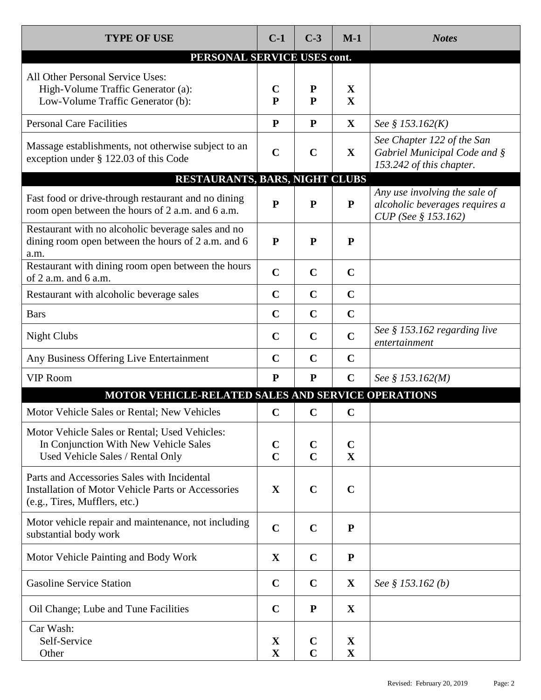| <b>TYPE OF USE</b>                                                                                                                        | $C-1$                      | $C-3$                      | $M-1$                        | <b>Notes</b>                                                                           |  |  |
|-------------------------------------------------------------------------------------------------------------------------------------------|----------------------------|----------------------------|------------------------------|----------------------------------------------------------------------------------------|--|--|
| PERSONAL SERVICE USES cont.                                                                                                               |                            |                            |                              |                                                                                        |  |  |
| All Other Personal Service Uses:<br>High-Volume Traffic Generator (a):<br>Low-Volume Traffic Generator (b):                               | $\mathbf C$<br>P           | P<br>P                     | $\mathbf{X}$<br>$\mathbf{X}$ |                                                                                        |  |  |
| <b>Personal Care Facilities</b>                                                                                                           | P                          | $\mathbf{P}$               | $\mathbf{X}$                 | See § 153.162(K)                                                                       |  |  |
| Massage establishments, not otherwise subject to an<br>exception under § 122.03 of this Code                                              | $\mathbf C$                | $\mathbf C$                | $\mathbf X$                  | See Chapter 122 of the San<br>Gabriel Municipal Code and §<br>153.242 of this chapter. |  |  |
| RESTAURANTS, BARS, NIGHT CLUBS                                                                                                            |                            |                            |                              |                                                                                        |  |  |
| Fast food or drive-through restaurant and no dining<br>room open between the hours of 2 a.m. and 6 a.m.                                   | $\mathbf{P}$               | P                          | ${\bf P}$                    | Any use involving the sale of<br>alcoholic beverages requires a<br>CUP (See § 153.162) |  |  |
| Restaurant with no alcoholic beverage sales and no<br>dining room open between the hours of 2 a.m. and 6<br>a.m.                          | ${\bf P}$                  | $\mathbf{P}$               | $\mathbf{P}$                 |                                                                                        |  |  |
| Restaurant with dining room open between the hours<br>of $2$ a.m. and $6$ a.m.                                                            | $\mathbf C$                | $\mathbf C$                | $\mathbf C$                  |                                                                                        |  |  |
| Restaurant with alcoholic beverage sales                                                                                                  | $\mathbf C$                | $\mathbf C$                | $\mathbf C$                  |                                                                                        |  |  |
| <b>Bars</b>                                                                                                                               | $\mathbf C$                | $\mathbf C$                | $\mathbf C$                  |                                                                                        |  |  |
| <b>Night Clubs</b>                                                                                                                        | $\mathbf C$                | $\mathbf C$                | $\mathbf C$                  | See § 153.162 regarding live<br>entertainment                                          |  |  |
| Any Business Offering Live Entertainment                                                                                                  | $\mathbf C$                | $\mathbf C$                | $\mathbf C$                  |                                                                                        |  |  |
| <b>VIP Room</b>                                                                                                                           | ${\bf P}$                  | ${\bf P}$                  | $\mathbf C$                  | See § 153.162( <i>M</i> )                                                              |  |  |
| MOTOR VEHICLE-RELATED SALES AND SERVICE OPERATIONS                                                                                        |                            |                            |                              |                                                                                        |  |  |
| Motor Vehicle Sales or Rental; New Vehicles                                                                                               | $\mathbf C$                | $\mathbf C$                | $\mathbf C$                  |                                                                                        |  |  |
| Motor Vehicle Sales or Rental; Used Vehicles:<br>In Conjunction With New Vehicle Sales<br>Used Vehicle Sales / Rental Only                | $\mathbf C$<br>$\mathbf C$ | $\mathbf C$<br>$\mathbf C$ | $\mathbf C$<br>$\mathbf{X}$  |                                                                                        |  |  |
| Parts and Accessories Sales with Incidental<br><b>Installation of Motor Vehicle Parts or Accessories</b><br>(e.g., Tires, Mufflers, etc.) | $\mathbf{X}$               | $\mathbf C$                | $\mathbf C$                  |                                                                                        |  |  |
| Motor vehicle repair and maintenance, not including<br>substantial body work                                                              | $\mathbf C$                | $\mathbf C$                | ${\bf P}$                    |                                                                                        |  |  |
| Motor Vehicle Painting and Body Work                                                                                                      | $\mathbf X$                | $\mathbf C$                | ${\bf P}$                    |                                                                                        |  |  |
| <b>Gasoline Service Station</b>                                                                                                           | $\mathbf C$                | $\mathbf C$                | $\mathbf{X}$                 | See § 153.162 (b)                                                                      |  |  |
| Oil Change; Lube and Tune Facilities                                                                                                      | $\mathbf C$                | $\mathbf P$                | $\mathbf{X}$                 |                                                                                        |  |  |
| Car Wash:<br>Self-Service<br>Other                                                                                                        | X<br>$\mathbf X$           | $\mathbf C$<br>$\mathbf C$ | $\mathbf X$<br>$\mathbf{X}$  |                                                                                        |  |  |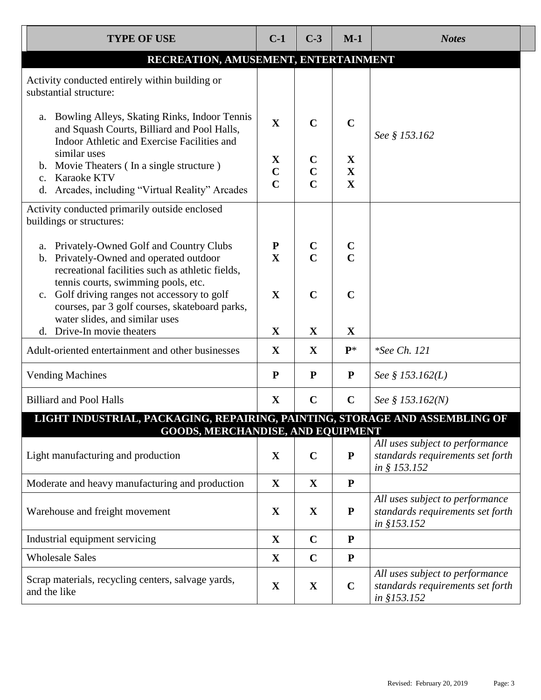| <b>TYPE OF USE</b>                                                                                                                                                      | $C-1$                                         | $C-3$                                           | $M-1$                                     | <b>Notes</b>                                                                        |  |
|-------------------------------------------------------------------------------------------------------------------------------------------------------------------------|-----------------------------------------------|-------------------------------------------------|-------------------------------------------|-------------------------------------------------------------------------------------|--|
| RECREATION, AMUSEMENT, ENTERTAINMENT                                                                                                                                    |                                               |                                                 |                                           |                                                                                     |  |
| Activity conducted entirely within building or<br>substantial structure:                                                                                                |                                               |                                                 |                                           |                                                                                     |  |
| Bowling Alleys, Skating Rinks, Indoor Tennis<br>a.<br>and Squash Courts, Billiard and Pool Halls,<br>Indoor Athletic and Exercise Facilities and                        | $\mathbf{X}$                                  | $\mathbf C$                                     | $\mathbf C$                               | See § 153.162                                                                       |  |
| similar uses<br>b. Movie Theaters (In a single structure)<br>Karaoke KTV<br>$\mathbf{c}$ .<br>Arcades, including "Virtual Reality" Arcades<br>d.                        | $\mathbf{X}$<br>$\mathbf C$<br>$\overline{C}$ | $\mathbf C$<br>$\overline{C}$<br>$\overline{C}$ | $\mathbf X$<br>$\mathbf X$<br>$\mathbf X$ |                                                                                     |  |
| Activity conducted primarily outside enclosed<br>buildings or structures:                                                                                               |                                               |                                                 |                                           |                                                                                     |  |
| a. Privately-Owned Golf and Country Clubs<br>b. Privately-Owned and operated outdoor<br>recreational facilities such as athletic fields,                                | $\mathbf{P}$<br>$\mathbf X$                   | $\mathbf C$<br>$\overline{C}$                   | $\mathbf C$<br>$\overline{C}$             |                                                                                     |  |
| tennis courts, swimming pools, etc.<br>c. Golf driving ranges not accessory to golf<br>courses, par 3 golf courses, skateboard parks,<br>water slides, and similar uses | $\mathbf X$                                   | $\overline{C}$                                  | $\mathbf C$                               |                                                                                     |  |
| d. Drive-In movie theaters                                                                                                                                              | $\mathbf X$                                   | $\mathbf X$                                     | $\mathbf X$                               |                                                                                     |  |
| Adult-oriented entertainment and other businesses                                                                                                                       | $\mathbf X$                                   | $\mathbf{X}$                                    | $P^*$                                     | *See Ch. 121                                                                        |  |
| <b>Vending Machines</b>                                                                                                                                                 | $\mathbf{P}$                                  | ${\bf P}$                                       | ${\bf P}$                                 | See § 153.162(L)                                                                    |  |
| <b>Billiard and Pool Halls</b>                                                                                                                                          | X                                             | $\mathbf C$                                     | $\mathbf C$                               | See § 153.162(N)                                                                    |  |
| LIGHT INDUSTRIAL, PACKAGING, REPAIRING, PAINTING, STORAGE AND ASSEMBLING OF<br>GOODS, MERCHANDISE, AND EQUIPMENT                                                        |                                               |                                                 |                                           |                                                                                     |  |
| Light manufacturing and production                                                                                                                                      | $\mathbf{X}$                                  | $\mathbf C$                                     | ${\bf P}$                                 | All uses subject to performance<br>standards requirements set forth<br>in § 153.152 |  |
| Moderate and heavy manufacturing and production                                                                                                                         | $\mathbf{X}$                                  | $\mathbf{X}$                                    | ${\bf P}$                                 |                                                                                     |  |
| Warehouse and freight movement                                                                                                                                          | $\mathbf X$                                   | $\mathbf{X}$                                    | ${\bf P}$                                 | All uses subject to performance<br>standards requirements set forth<br>in §153.152  |  |
| Industrial equipment servicing                                                                                                                                          | $\mathbf X$                                   | $\mathbf C$                                     | ${\bf P}$                                 |                                                                                     |  |
| <b>Wholesale Sales</b>                                                                                                                                                  | $\mathbf X$                                   | $\mathbf C$                                     | ${\bf P}$                                 |                                                                                     |  |
| Scrap materials, recycling centers, salvage yards,<br>and the like                                                                                                      | $\mathbf X$                                   | $\mathbf X$                                     | $\mathbf C$                               | All uses subject to performance<br>standards requirements set forth<br>in §153.152  |  |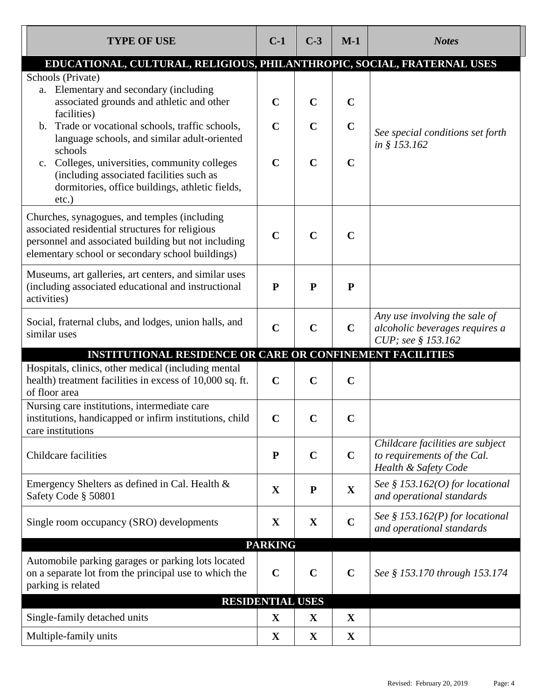| <b>TYPE OF USE</b>                                                                                                                                                                                                                                                                                                                                                                                 | $C-1$                                     | $C-3$                                     | $M-1$                                     | <b>Notes</b>                                                                            |  |
|----------------------------------------------------------------------------------------------------------------------------------------------------------------------------------------------------------------------------------------------------------------------------------------------------------------------------------------------------------------------------------------------------|-------------------------------------------|-------------------------------------------|-------------------------------------------|-----------------------------------------------------------------------------------------|--|
| EDUCATIONAL, CULTURAL, RELIGIOUS, PHILANTHROPIC, SOCIAL, FRATERNAL USES                                                                                                                                                                                                                                                                                                                            |                                           |                                           |                                           |                                                                                         |  |
| Schools (Private)<br>a. Elementary and secondary (including<br>associated grounds and athletic and other<br>facilities)<br>b. Trade or vocational schools, traffic schools,<br>language schools, and similar adult-oriented<br>schools<br>c. Colleges, universities, community colleges<br>(including associated facilities such as<br>dormitories, office buildings, athletic fields,<br>$etc.$ ) | $\mathbf C$<br>$\mathbf C$<br>$\mathbf C$ | $\mathbf C$<br>$\mathbf C$<br>$\mathbf C$ | $\mathbf C$<br>$\mathbf C$<br>$\mathbf C$ | See special conditions set forth<br>in § 153.162                                        |  |
| Churches, synagogues, and temples (including<br>associated residential structures for religious<br>personnel and associated building but not including<br>elementary school or secondary school buildings)                                                                                                                                                                                         | $\mathbf C$                               | $\mathbf C$                               | $\mathbf C$                               |                                                                                         |  |
| Museums, art galleries, art centers, and similar uses<br>(including associated educational and instructional<br>activities)                                                                                                                                                                                                                                                                        | ${\bf P}$                                 | ${\bf P}$                                 | ${\bf P}$                                 |                                                                                         |  |
| Social, fraternal clubs, and lodges, union halls, and<br>similar uses                                                                                                                                                                                                                                                                                                                              | $\mathbf C$                               | $\mathbf C$                               | $\mathbf C$                               | Any use involving the sale of<br>alcoholic beverages requires a<br>CUP; see § 153.162   |  |
| INSTITUTIONAL RESIDENCE OR CARE OR CONFINEMENT FACILITIES                                                                                                                                                                                                                                                                                                                                          |                                           |                                           |                                           |                                                                                         |  |
| Hospitals, clinics, other medical (including mental<br>health) treatment facilities in excess of 10,000 sq. ft.<br>of floor area                                                                                                                                                                                                                                                                   | $\mathbf C$                               | $\mathbf C$                               | $\mathbf C$                               |                                                                                         |  |
| Nursing care institutions, intermediate care<br>institutions, handicapped or infirm institutions, child<br>care institutions                                                                                                                                                                                                                                                                       | $\mathbf C$                               | $\mathbf C$                               | $\mathbf C$                               |                                                                                         |  |
| <b>Childcare facilities</b>                                                                                                                                                                                                                                                                                                                                                                        | ${\bf P}$                                 | $\mathbf C$                               | $\mathbf C$                               | Childcare facilities are subject<br>to requirements of the Cal.<br>Health & Safety Code |  |
| Emergency Shelters as defined in Cal. Health &<br>Safety Code § 50801                                                                                                                                                                                                                                                                                                                              | $\mathbf X$                               | ${\bf P}$                                 | $\mathbf X$                               | See § 153.162(O) for locational<br>and operational standards                            |  |
| Single room occupancy (SRO) developments                                                                                                                                                                                                                                                                                                                                                           | $\mathbf X$                               | $\mathbf X$                               | $\mathbf C$                               | See § 153.162(P) for locational<br>and operational standards                            |  |
| <b>PARKING</b>                                                                                                                                                                                                                                                                                                                                                                                     |                                           |                                           |                                           |                                                                                         |  |
| Automobile parking garages or parking lots located<br>on a separate lot from the principal use to which the<br>parking is related                                                                                                                                                                                                                                                                  | $\mathbf C$                               | $\mathbf C$                               | $\mathbf C$                               | See § 153.170 through 153.174                                                           |  |
| <b>RESIDENTIAL USES</b>                                                                                                                                                                                                                                                                                                                                                                            |                                           |                                           |                                           |                                                                                         |  |
| Single-family detached units                                                                                                                                                                                                                                                                                                                                                                       | $\mathbf X$                               | $\mathbf X$                               | $\mathbf{X}$                              |                                                                                         |  |
| Multiple-family units                                                                                                                                                                                                                                                                                                                                                                              | $\mathbf X$                               | $\mathbf X$                               | $\mathbf X$                               |                                                                                         |  |